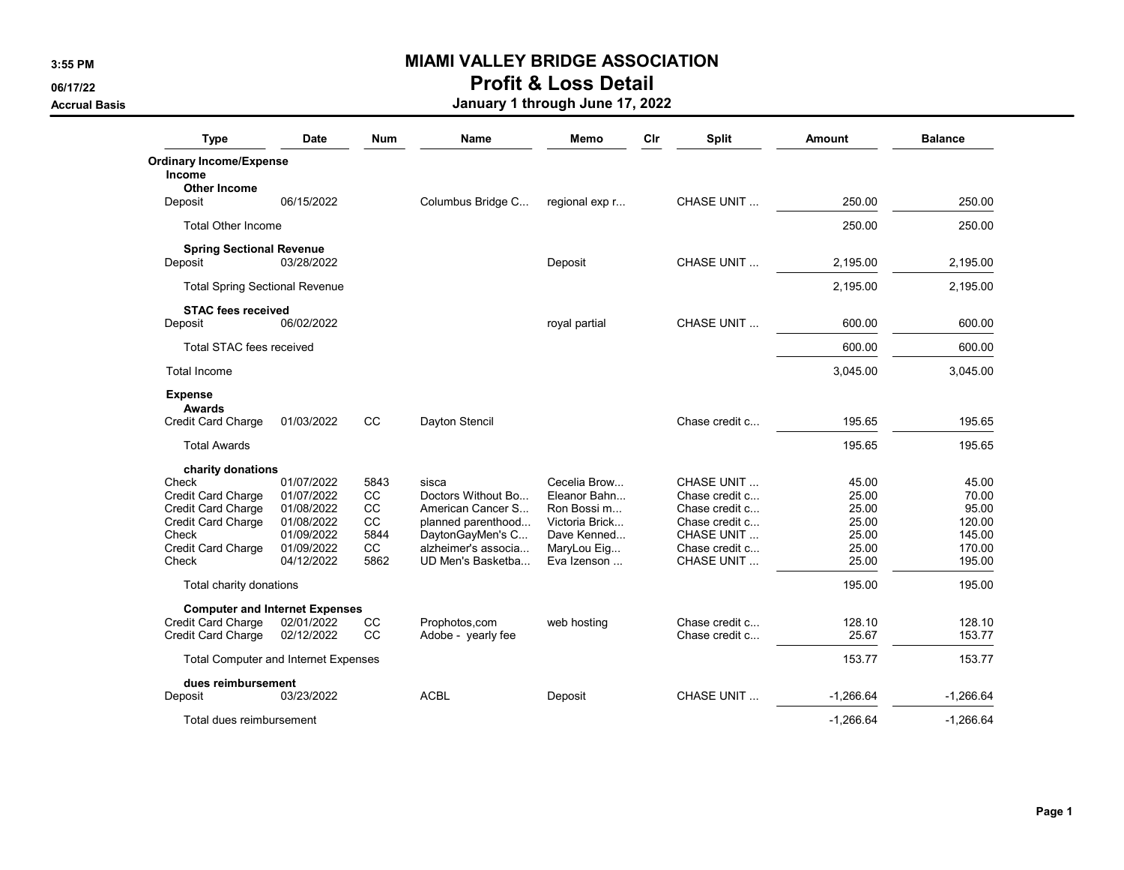### 3:55 PM **MIAMI VALLEY BRIDGE ASSOCIATION**

# 06/17/22 **Profit & Loss Detail**

### Accrual Basis **Accrual Basis** Accrual Basis **January 1 through June 17, 2022**

| <b>Type</b>                                 | <b>Date</b> | <b>Num</b> | Name                | Memo           | Cir | <b>Split</b>      | <b>Amount</b> | <b>Balance</b> |
|---------------------------------------------|-------------|------------|---------------------|----------------|-----|-------------------|---------------|----------------|
| <b>Ordinary Income/Expense</b>              |             |            |                     |                |     |                   |               |                |
| Income                                      |             |            |                     |                |     |                   |               |                |
| <b>Other Income</b>                         |             |            |                     |                |     |                   |               |                |
| Deposit                                     | 06/15/2022  |            | Columbus Bridge C   | regional exp r |     | CHASE UNIT        | 250.00        | 250.00         |
| <b>Total Other Income</b>                   |             |            |                     |                |     |                   | 250.00        | 250.00         |
| <b>Spring Sectional Revenue</b>             |             |            |                     |                |     |                   |               |                |
| Deposit                                     | 03/28/2022  |            |                     | Deposit        |     | <b>CHASE UNIT</b> | 2.195.00      | 2.195.00       |
| <b>Total Spring Sectional Revenue</b>       |             |            |                     |                |     |                   | 2,195.00      | 2,195.00       |
| <b>STAC fees received</b>                   |             |            |                     |                |     |                   |               |                |
| Deposit                                     | 06/02/2022  |            |                     | royal partial  |     | CHASE UNIT        | 600.00        | 600.00         |
| <b>Total STAC fees received</b>             |             |            |                     |                |     |                   | 600.00        | 600.00         |
| <b>Total Income</b>                         |             |            |                     |                |     |                   | 3,045.00      | 3,045.00       |
| <b>Expense</b>                              |             |            |                     |                |     |                   |               |                |
| Awards                                      |             |            |                     |                |     |                   |               |                |
| <b>Credit Card Charge</b>                   | 01/03/2022  | CС         | Dayton Stencil      |                |     | Chase credit c    | 195.65        | 195.65         |
| <b>Total Awards</b>                         |             |            |                     |                |     |                   | 195.65        | 195.65         |
| charity donations                           |             |            |                     |                |     |                   |               |                |
| Check                                       | 01/07/2022  | 5843       | sisca               | Cecelia Brow   |     | CHASE UNIT        | 45.00         | 45.00          |
| <b>Credit Card Charge</b>                   | 01/07/2022  | cc         | Doctors Without Bo  | Eleanor Bahn   |     | Chase credit c    | 25.00         | 70.00          |
| <b>Credit Card Charge</b>                   | 01/08/2022  | <b>CC</b>  | American Cancer S   | Ron Bossi m    |     | Chase credit c    | 25.00         | 95.00          |
| Credit Card Charge                          | 01/08/2022  | <b>CC</b>  | planned parenthood  | Victoria Brick |     | Chase credit c    | 25.00         | 120.00         |
| Check                                       | 01/09/2022  | 5844       | DaytonGayMen's C    | Dave Kenned    |     | CHASE UNIT        | 25.00         | 145.00         |
| <b>Credit Card Charge</b>                   | 01/09/2022  | cc         | alzheimer's associa | MaryLou Eig    |     | Chase credit c    | 25.00         | 170.00         |
| Check                                       | 04/12/2022  | 5862       | UD Men's Basketba   | Eva Izenson    |     | <b>CHASE UNIT</b> | 25.00         | 195.00         |
| Total charity donations                     |             |            |                     |                |     |                   | 195.00        | 195.00         |
| <b>Computer and Internet Expenses</b>       |             |            |                     |                |     |                   |               |                |
| Credit Card Charge                          | 02/01/2022  | CC         | Prophotos, com      | web hosting    |     | Chase credit c    | 128.10        | 128.10         |
| Credit Card Charge                          | 02/12/2022  | CC         | Adobe - yearly fee  |                |     | Chase credit c    | 25.67         | 153.77         |
| <b>Total Computer and Internet Expenses</b> |             |            |                     |                |     |                   | 153.77        | 153.77         |
| dues reimbursement                          |             |            |                     |                |     |                   |               |                |
| Deposit                                     | 03/23/2022  |            | <b>ACBL</b>         | Deposit        |     | <b>CHASE UNIT</b> | $-1.266.64$   | $-1,266.64$    |
| Total dues reimbursement                    |             |            |                     |                |     |                   | $-1.266.64$   | $-1.266.64$    |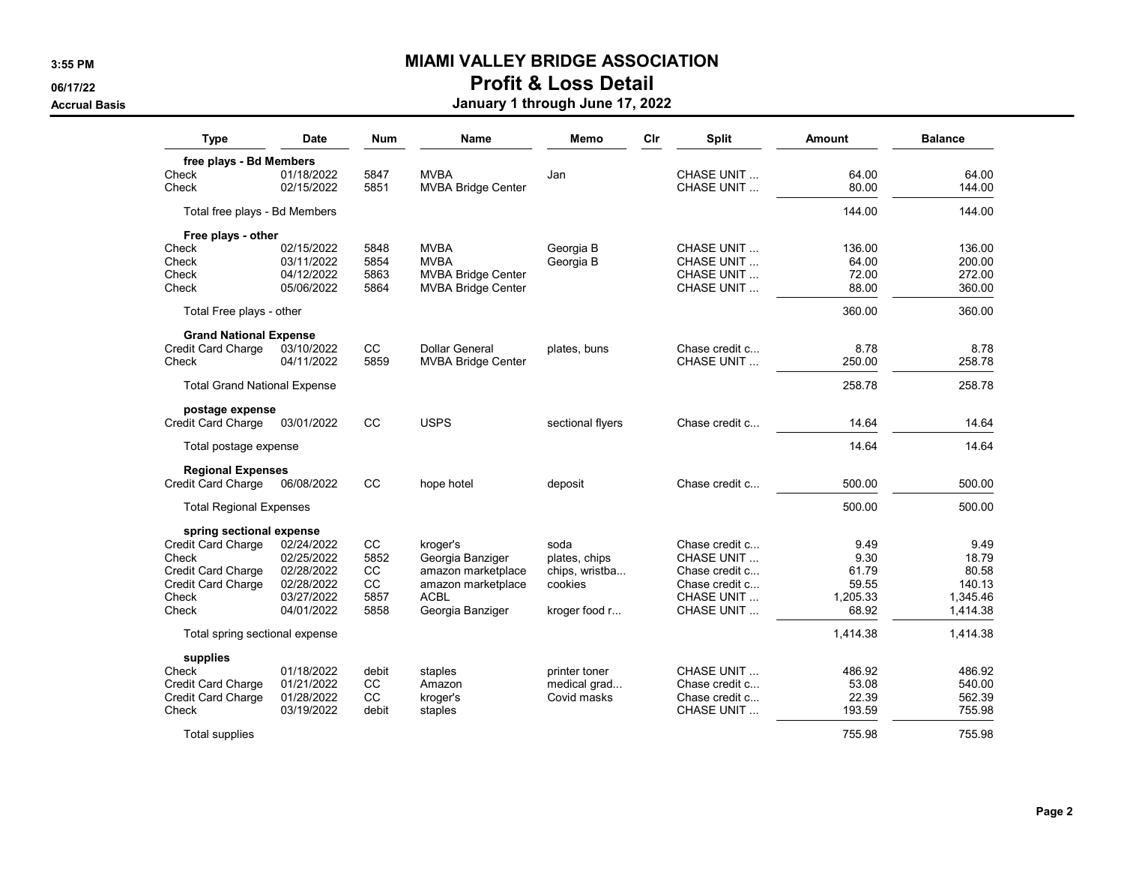### 3:55 PM **MIAMI VALLEY BRIDGE ASSOCIATION**

# 06/17/22 **Profit & Loss Detail**

### Accrual Basis **Accrual Basis** Accrual Basis **January 1 through June 17, 2022**

| <b>Type</b>                                    | Date       | <b>Num</b> | <b>Name</b>               | Memo             | Cir | <b>Split</b>       | <b>Amount</b> | <b>Balance</b> |
|------------------------------------------------|------------|------------|---------------------------|------------------|-----|--------------------|---------------|----------------|
| free plays - Bd Members                        |            |            |                           |                  |     |                    |               |                |
| Check                                          | 01/18/2022 | 5847       | <b>MVBA</b>               | Jan              |     | CHASE UNIT         | 64.00         | 64.00          |
| Check                                          | 02/15/2022 | 5851       | <b>MVBA Bridge Center</b> |                  |     | CHASE UNIT         | 80.00         | 144.00         |
| Total free plays - Bd Members                  |            |            |                           |                  |     |                    | 144.00        | 144.00         |
| Free plays - other                             |            |            |                           |                  |     |                    |               |                |
| Check                                          | 02/15/2022 | 5848       | <b>MVBA</b>               | Georgia B        |     | CHASE UNIT         | 136.00        | 136.00         |
| Check                                          | 03/11/2022 | 5854       | <b>MVBA</b>               | Georgia B        |     | <b>CHASE UNIT</b>  | 64.00         | 200.00         |
| Check                                          | 04/12/2022 | 5863       | <b>MVBA Bridge Center</b> |                  |     | CHASE UNIT         | 72.00         | 272.00         |
| Check                                          | 05/06/2022 | 5864       | <b>MVBA Bridge Center</b> |                  |     | CHASE UNIT         | 88.00         | 360.00         |
| Total Free plays - other                       |            |            |                           |                  |     |                    | 360.00        | 360.00         |
| <b>Grand National Expense</b>                  |            |            |                           |                  |     |                    |               |                |
| Credit Card Charge                             | 03/10/2022 | <b>CC</b>  | Dollar General            | plates, buns     |     | Chase credit c     | 8.78          | 8.78           |
| Check                                          | 04/11/2022 | 5859       | <b>MVBA Bridge Center</b> |                  |     | CHASE UNIT         | 250.00        | 258.78         |
| <b>Total Grand National Expense</b>            |            |            |                           |                  |     |                    | 258.78        | 258.78         |
| postage expense                                |            | CC         | <b>USPS</b>               |                  |     |                    |               |                |
| <b>Credit Card Charge</b>                      | 03/01/2022 |            |                           | sectional flyers |     | Chase credit c     | 14.64         | 14.64          |
| Total postage expense                          |            |            |                           |                  |     |                    | 14.64         | 14.64          |
| <b>Regional Expenses</b><br>Credit Card Charge | 06/08/2022 | CC         | hope hotel                | deposit          |     | Chase credit c     | 500.00        | 500.00         |
|                                                |            |            |                           |                  |     |                    |               |                |
| <b>Total Regional Expenses</b>                 |            |            |                           |                  |     |                    | 500.00        | 500.00         |
| spring sectional expense                       |            |            |                           |                  |     |                    |               |                |
| Credit Card Charge                             | 02/24/2022 | cc         | kroger's                  | soda             |     | Chase credit c     | 9.49          | 9.49           |
| Check                                          | 02/25/2022 | 5852       | Georgia Banziger          | plates, chips    |     | CHASE UNIT         | 9.30          | 18.79          |
| Credit Card Charge                             | 02/28/2022 | cc         | amazon marketplace        | chips, wristba   |     | Chase credit c     | 61.79         | 80.58          |
| Credit Card Charge                             | 02/28/2022 | cc         | amazon marketplace        | cookies          |     | Chase credit c     | 59.55         | 140.13         |
| Check                                          | 03/27/2022 | 5857       | <b>ACBL</b>               |                  |     | <b>CHASE UNIT</b>  | 1.205.33      | 1.345.46       |
| Check                                          | 04/01/2022 | 5858       | Georgia Banziger          | kroger food r    |     | CHASE UNIT         | 68.92         | 1,414.38       |
| Total spring sectional expense                 |            |            |                           |                  |     |                    | 1,414.38      | 1,414.38       |
| supplies                                       |            |            |                           |                  |     |                    |               |                |
| Check                                          | 01/18/2022 | debit      | staples                   | printer toner    |     | <b>CHASE UNIT</b>  | 486.92        | 486.92         |
| <b>Credit Card Charge</b>                      | 01/21/2022 | <b>CC</b>  | Amazon                    | medical grad     |     | Chase credit c     | 53.08         | 540.00         |
| Credit Card Charge                             | 01/28/2022 | CC         | kroger's                  | Covid masks      |     | Chase credit c     | 22.39         | 562.39         |
| Check                                          | 03/19/2022 | debit      | staples                   |                  |     | <b>CHASE UNIT </b> | 193.59        | 755.98         |
| <b>Total supplies</b>                          |            |            |                           |                  |     |                    | 755.98        | 755.98         |